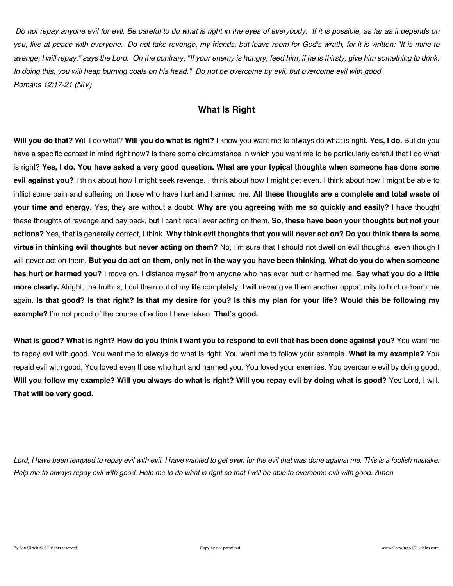*Do not repay anyone evil for evil. Be careful to do what is right in the eyes of everybody. If it is possible, as far as it depends on you, live at peace with everyone. Do not take revenge, my friends, but leave room for God's wrath, for it is written: "It is mine to avenge; I will repay," says the Lord. On the contrary: "If your enemy is hungry, feed him; if he is thirsty, give him something to drink. In doing this, you will heap burning coals on his head." Do not be overcome by evil, but overcome evil with good. Romans 12:17-21 (NIV)* 

# **What Is Right**

**Will you do that?** Will I do what? **Will you do what is right?** I know you want me to always do what is right. **Yes, I do.** But do you have a specific context in mind right now? Is there some circumstance in which you want me to be particularly careful that I do what is right? **Yes, I do. You have asked a very good question. What are your typical thoughts when someone has done some evil against you?** I think about how I might seek revenge. I think about how I might get even. I think about how I might be able to inflict some pain and suffering on those who have hurt and harmed me. **All these thoughts are a complete and total waste of your time and energy.** Yes, they are without a doubt. **Why are you agreeing with me so quickly and easily?** I have thought these thoughts of revenge and pay back, but I can't recall ever acting on them. **So, these have been your thoughts but not your actions?** Yes, that is generally correct, I think. **Why think evil thoughts that you will never act on? Do you think there is some virtue in thinking evil thoughts but never acting on them?** No, I'm sure that I should not dwell on evil thoughts, even though I will never act on them. **But you do act on them, only not in the way you have been thinking. What do you do when someone has hurt or harmed you?** I move on. I distance myself from anyone who has ever hurt or harmed me. **Say what you do a little more clearly.** Alright, the truth is, I cut them out of my life completely. I will never give them another opportunity to hurt or harm me again. **Is that good? Is that right? Is that my desire for you? Is this my plan for your life? Would this be following my example?** I'm not proud of the course of action I have taken. **That's good.**

**What is good? What is right? How do you think I want you to respond to evil that has been done against you?** You want me to repay evil with good. You want me to always do what is right. You want me to follow your example. **What is my example?** You repaid evil with good. You loved even those who hurt and harmed you. You loved your enemies. You overcame evil by doing good. **Will you follow my example? Will you always do what is right? Will you repay evil by doing what is good?** Yes Lord, I will. **That will be very good.**

Lord, I have been tempted to repay evil with evil. I have wanted to get even for the evil that was done against me. This is a foolish mistake. *Help me to always repay evil with good. Help me to do what is right so that I will be able to overcome evil with good. Amen*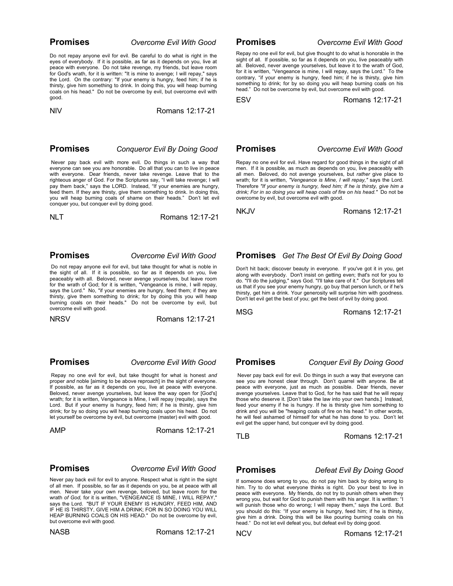### **Promises** *Overcome Evil With Good*

Do not repay anyone evil for evil. Be careful to do what is right in the eyes of everybody. If it is possible, as far as it depends on you, live at peace with everyone. Do not take revenge, my friends, but leave room for God's wrath, for it is written: "It is mine to avenge; I will repay," says the Lord. On the contrary: "If your enemy is hungry, feed him; if he is thirsty, give him something to drink. In doing this, you will heap burning coals on his head." Do not be overcome by evil, but overcome evil with good.

NIV Romans 12:17-21

### **Promises** *Conqueror Evil By Doing Good*

Never pay back evil with more evil. Do things in such a way that everyone can see you are honorable. Do all that you can to live in peace with everyone. Dear friends, never take revenge. Leave that to the righteous anger of God. For the Scriptures say, "I will take revenge; I will pay them back," says the LORD. Instead, "If your enemies are hungry, feed them. If they are thirsty, give them something to drink. In doing this, you will heap burning coals of shame on their heads." Don't let evil conquer you, but conquer evil by doing good.

NLT Romans 12:17-21

### **Promises** *Overcome Evil With Good*

Do not repay anyone evil for evil, but take thought for what is noble in the sight of all. If it is possible, so far as it depends on you, live peaceably with all. Beloved, never avenge yourselves, but leave room for the wrath of God; for it is written, "Vengeance is mine, I will repay, says the Lord." No, "if your enemies are hungry, feed them; if they are thirsty, give them something to drink; for by doing this you will heap burning coals on their heads." Do not be overcome by evil, but overcome evil with good.

NRSVRomans 12:17-21

### **Promises** *Overcome Evil With Good*

Repay no one evil for evil, but take thought for what is honest *and* proper *and* noble [aiming to be above reproach] in the sight of everyone. If possible, as far as it depends on you, live at peace with everyone. Beloved, never avenge yourselves, but leave the way open for [God's] wrath; for it is written, Vengeance is Mine, I will repay (requite), says the Lord. But if your enemy is hungry, feed him; if he is thirsty, give him drink; for by so doing you will heap burning coals upon his head. Do not let yourself be overcome by evil, but overcome (master) evil with good.

AMPRomans 12:17-21

### **Promises** *Overcome Evil With Good*

Never pay back evil for evil to anyone. Respect what is right in the sight of all men. If possible, so far as it depends on you, be at peace with all men. Never take your own revenge, beloved, but leave room for the wrath *of God,* for it is written, "VENGEANCE IS MINE, I WILL REPAY," says the Lord. "BUT IF YOUR ENEMY IS HUNGRY, FEED HIM, AND IF HE IS THIRSTY, GIVE HIM A DRINK; FOR IN SO DOING YOU WILL HEAP BURNING COALS ON HIS HEAD." Do not be overcome by evil, but overcome evil with good.

NASBRomans 12:17-21

**Promises** *Overcome Evil With Good*

Repay no one evil for evil, but give thought to do what is honorable in the sight of all. If possible, so far as it depends on you, live peaceably with all. Beloved, never avenge yourselves, but leave it to the wrath of God, for it is written, "Vengeance is mine, I will repay, says the Lord." To the contrary, "if your enemy is hungry, feed him; if he is thirsty, give him something to drink; for by so doing you will heap burning coals on his head." Do not be overcome by evil, but overcome evil with good.

ESVRomans 12:17-21

**Promises** *Overcome Evil With Good*

Repay no one evil for evil. Have regard for good things in the sight of all men. If it is possible, as much as depends on you, live peaceably with all men. Beloved, do not avenge yourselves, but *rather* give place to wrath; for it is written, *"Vengeance is Mine, I will repay,"* says the Lord. Therefore *"If your enemy is hungry, feed him; If he is thirsty, give him a drink; For in so doing you will heap coals of fire on his head."* Do not be overcome by evil, but overcome evil with good.

NKJVRomans 12:17-21

## **Promises** *Get The Best Of Evil By Doing Good*

Don't hit back; discover beauty in everyone. If you've got it in you, get along with everybody. Don't insist on getting even; that's not for you to do. "I'll do the judging," says God. "I'll take care of it." Our Scriptures tell us that if you see your enemy hungry, go buy that person lunch, or if he's thirsty, get him a drink. Your generosity will surprise him with goodness. Don't let evil get the best of you; get the best of evil by doing good.

MSGRomans 12:17-21

 **Promises** *Conquer Evil By Doing Good*

Never pay back evil for evil. Do things in such a way that everyone can see you are honest clear through. Don't quarrel with anyone. Be at peace with everyone, just as much as possible. Dear friends, never avenge yourselves. Leave that to God, for he has said that he will repay those who deserve it. [Don't take the law into your own hands.] Instead, feed your enemy if he is hungry. If he is thirsty give him something to drink and you will be "heaping coals of fire on his head." In other words, he will feel ashamed of himself for what he has done to you. Don't let evil get the upper hand, but conquer evil by doing good.

TLBRomans 12:17-21

**Promises** *Defeat Evil By Doing Good*

If someone does wrong to you, do not pay him back by doing wrong to him. Try to do what everyone thinks is right. Do your best to live in peace with everyone. My friends, do not try to punish others when they wrong you, but wait for God to punish them with his anger. It is written: "I will punish those who do wrong; I will repay them," says the Lord. But you should do this: "If your enemy is hungry, feed him; if he is thirsty, give him a drink. Doing this will be like pouring burning coals on his head." Do not let evil defeat you, but defeat evil by doing good.

NCVRomans 12:17-21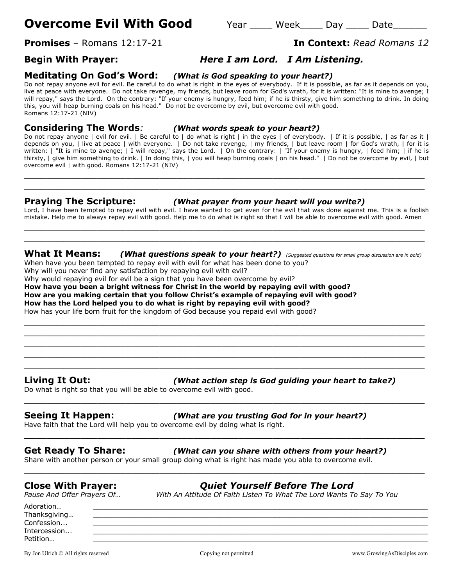# **Overcome Evil With Good** Year Week Day Date

# **Promises** – Romans 12:17-21 **In Context:** *Read Romans 12*

# **Begin With Prayer:** *Here I am Lord. I Am Listening.*

## **Meditating On God's Word:** *(What is God speaking to your heart?)*

Do not repay anyone evil for evil. Be careful to do what is right in the eyes of everybody. If it is possible, as far as it depends on you, live at peace with everyone. Do not take revenge, my friends, but leave room for God's wrath, for it is written: "It is mine to avenge; I will repay," says the Lord. On the contrary: "If your enemy is hungry, feed him; if he is thirsty, give him something to drink. In doing this, you will heap burning coals on his head." Do not be overcome by evil, but overcome evil with good. Romans 12:17-21 (NIV)

## **Considering The Words***: (What words speak to your heart?)*

Do not repay anyone | evil for evil. | Be careful to | do what is right | in the eyes | of everybody. | If it is possible, | as far as it | depends on you, | live at peace | with everyone. | Do not take revenge, | my friends, | but leave room | for God's wrath, | for it is written: | "It is mine to avenge; | I will repay," says the Lord. | On the contrary: | "If your enemy is hungry, | feed him; | if he is thirsty, | give him something to drink. | In doing this, | you will heap burning coals | on his head." | Do not be overcome by evil, | but overcome evil | with good. Romans 12:17-21 (NIV)

 $\_$  , and the contribution of the contribution of  $\mathcal{L}$  , and  $\mathcal{L}$  , and  $\mathcal{L}$  , and  $\mathcal{L}$  , and  $\mathcal{L}$  , and  $\mathcal{L}$  , and  $\mathcal{L}$  , and  $\mathcal{L}$  , and  $\mathcal{L}$  , and  $\mathcal{L}$  , and  $\mathcal{L}$  , and  $\mathcal{L$ \_\_\_\_\_\_\_\_\_\_\_\_\_\_\_\_\_\_\_\_\_\_\_\_\_\_\_\_\_\_\_\_\_\_\_\_\_\_\_\_\_\_\_\_\_\_\_\_\_\_\_\_\_\_\_\_\_\_\_\_\_\_\_\_\_\_\_\_\_\_\_

### **Praying The Scripture:** *(What prayer from your heart will you write?)*

Lord, I have been tempted to repay evil with evil. I have wanted to get even for the evil that was done against me. This is a foolish mistake. Help me to always repay evil with good. Help me to do what is right so that I will be able to overcome evil with good. Amen  $\_$  . The contribution of the contribution of  $\mathcal{L}_1$  ,  $\mathcal{L}_2$  ,  $\mathcal{L}_3$  ,  $\mathcal{L}_4$  ,  $\mathcal{L}_5$  ,  $\mathcal{L}_6$  ,  $\mathcal{L}_7$  ,  $\mathcal{L}_8$  ,  $\mathcal{L}_9$  ,  $\mathcal{L}_1$  ,  $\mathcal{L}_2$  ,  $\mathcal{L}_3$  ,  $\mathcal{L}_5$  ,  $\mathcal{L}_6$  ,  $\mathcal{L}_$ 

 $\_$  , and the set of the set of the set of the set of the set of the set of the set of the set of the set of the set of the set of the set of the set of the set of the set of the set of the set of the set of the set of th

 $\_$  , and the contribution of the contribution of  $\mathcal{L}$  , and  $\mathcal{L}$  , and  $\mathcal{L}$  , and  $\mathcal{L}$  , and  $\mathcal{L}$  , and  $\mathcal{L}$  , and  $\mathcal{L}$  , and  $\mathcal{L}$  , and  $\mathcal{L}$  , and  $\mathcal{L}$  , and  $\mathcal{L}$  , and  $\mathcal{L$  $\_$  , and the set of the set of the set of the set of the set of the set of the set of the set of the set of the set of the set of the set of the set of the set of the set of the set of the set of the set of the set of th  $\_$  , and the contribution of the contribution of  $\mathcal{L}$  , and  $\mathcal{L}$  , and  $\mathcal{L}$  , and  $\mathcal{L}$  , and  $\mathcal{L}$  , and  $\mathcal{L}$  , and  $\mathcal{L}$  , and  $\mathcal{L}$  , and  $\mathcal{L}$  , and  $\mathcal{L}$  , and  $\mathcal{L}$  , and  $\mathcal{L$ \_\_\_\_\_\_\_\_\_\_\_\_\_\_\_\_\_\_\_\_\_\_\_\_\_\_\_\_\_\_\_\_\_\_\_\_\_\_\_\_\_\_\_\_\_\_\_\_\_\_\_\_\_\_\_\_\_\_\_\_\_\_\_\_\_\_\_\_\_\_\_ \_\_\_\_\_\_\_\_\_\_\_\_\_\_\_\_\_\_\_\_\_\_\_\_\_\_\_\_\_\_\_\_\_\_\_\_\_\_\_\_\_\_\_\_\_\_\_\_\_\_\_\_\_\_\_\_\_\_\_\_\_\_\_\_\_\_\_\_\_\_\_

\_\_\_\_\_\_\_\_\_\_\_\_\_\_\_\_\_\_\_\_\_\_\_\_\_\_\_\_\_\_\_\_\_\_\_\_\_\_\_\_\_\_\_\_\_\_\_\_\_\_\_\_\_\_\_\_\_\_\_\_\_\_\_\_\_\_\_\_\_\_\_

\_\_\_\_\_\_\_\_\_\_\_\_\_\_\_\_\_\_\_\_\_\_\_\_\_\_\_\_\_\_\_\_\_\_\_\_\_\_\_\_\_\_\_\_\_\_\_\_\_\_\_\_\_\_\_\_\_\_\_\_\_\_\_\_\_\_\_\_\_\_\_

\_\_\_\_\_\_\_\_\_\_\_\_\_\_\_\_\_\_\_\_\_\_\_\_\_\_\_\_\_\_\_\_\_\_\_\_\_\_\_\_\_\_\_\_\_\_\_\_\_\_\_\_\_\_\_\_\_\_\_\_\_\_\_\_\_\_\_\_\_\_\_

## **What It Means:** *(What questions speak to your heart?) (Suggested questions for small group discussion are in bold)*

When have you been tempted to repay evil with evil for what has been done to you?

Why will you never find any satisfaction by repaying evil with evil?

Why would repaying evil for evil be a sign that you have been overcome by evil?

### **How have you been a bright witness for Christ in the world by repaying evil with good? How are you making certain that you follow Christ's example of repaying evil with good?**

**How has the Lord helped you to do what is right by repaying evil with good?**

How has your life born fruit for the kingdom of God because you repaid evil with good?

# **Living It Out:** *(What action step is God guiding your heart to take?)*

Do what is right so that you will be able to overcome evil with good.

### **Seeing It Happen:** *(What are you trusting God for in your heart?)*

Have faith that the Lord will help you to overcome evil by doing what is right.

# **Get Ready To Share:** *(What can you share with others from your heart?)*

Share with another person or your small group doing what is right has made you able to overcome evil.

# **Close With Prayer:** *Quiet Yourself Before The Lord*

*Pause And Offer Prayers Of… With An Attitude Of Faith Listen To What The Lord Wants To Say To You*

Adoration… \_\_\_\_\_\_\_\_\_\_\_\_\_\_\_\_\_\_\_\_\_\_\_\_\_\_\_\_\_\_\_\_\_\_\_\_\_\_\_\_\_\_\_\_\_\_\_\_\_\_\_\_\_\_\_\_\_\_\_\_\_\_\_\_\_\_\_\_\_\_\_\_\_\_\_\_\_\_\_ Thanksgiving... Confession... \_\_\_\_\_\_\_\_\_\_\_\_\_\_\_\_\_\_\_\_\_\_\_\_\_\_\_\_\_\_\_\_\_\_\_\_\_\_\_\_\_\_\_\_\_\_\_\_\_\_\_\_\_\_\_\_\_\_\_\_\_\_\_\_\_\_\_\_\_\_\_\_\_\_\_\_\_\_\_ Intercession... \_\_\_\_\_\_\_\_\_\_\_\_\_\_\_\_\_\_\_\_\_\_\_\_\_\_\_\_\_\_\_\_\_\_\_\_\_\_\_\_\_\_\_\_\_\_\_\_\_\_\_\_\_\_\_\_\_\_\_\_\_\_\_\_\_\_\_\_\_\_\_\_\_\_\_\_\_\_\_ Petition… \_\_\_\_\_\_\_\_\_\_\_\_\_\_\_\_\_\_\_\_\_\_\_\_\_\_\_\_\_\_\_\_\_\_\_\_\_\_\_\_\_\_\_\_\_\_\_\_\_\_\_\_\_\_\_\_\_\_\_\_\_\_\_\_\_\_\_\_\_\_\_\_\_\_\_\_\_\_\_

By Jon Ulrich © All rights reserved compared Copying not permitted www.GrowingAsDisciples.com